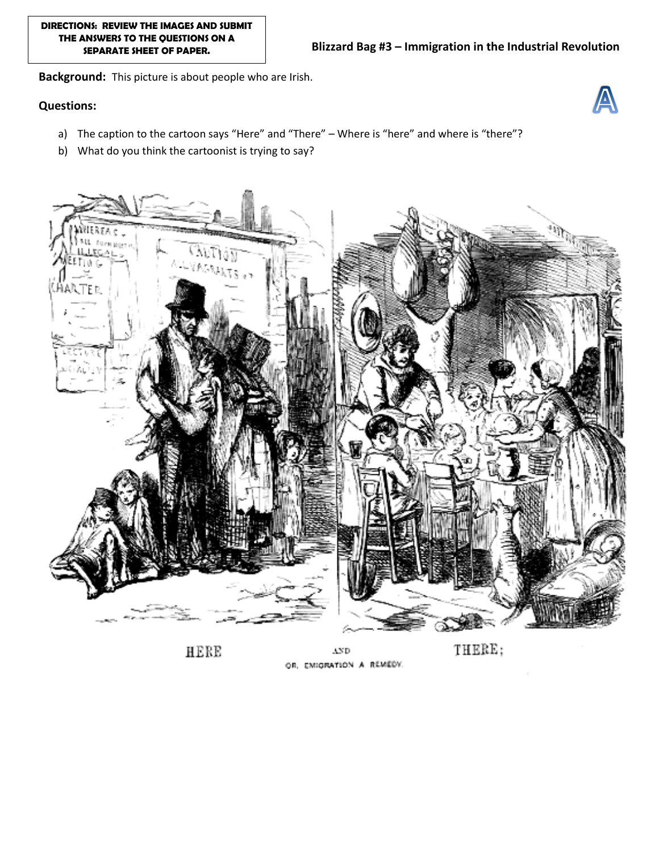**Background:** This picture is about people who are Irish.

## **Questions:**



- a) The caption to the cartoon says "Here" and "There" Where is "here" and where is "there"?
- b) What do you think the cartoonist is trying to say?



HERE

 $\Lambda \mathrm{ND}$ OR, EMIGRATION A REMEDY.

THERE;